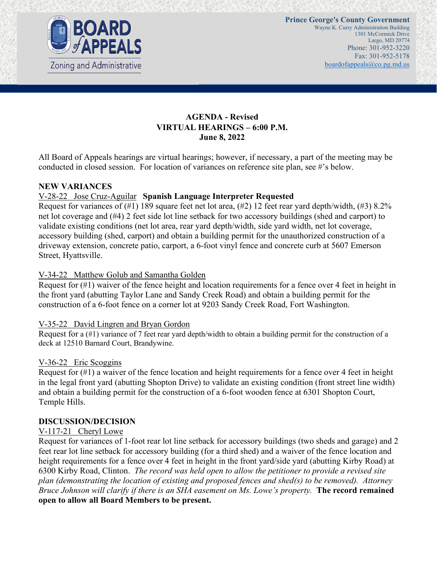

## **AGENDA - Revised VIRTUAL HEARINGS – 6:00 P.M. June 8, 2022**

All Board of Appeals hearings are virtual hearings; however, if necessary, a part of the meeting may be conducted in closed session. For location of variances on reference site plan, see #'s below.

### **NEW VARIANCES**

### V-28-22 Jose Cruz-Aguilar **Spanish Language Interpreter Requested**

Request for variances of  $(\#1)$  189 square feet net lot area,  $(\#2)$  12 feet rear yard depth/width,  $(\#3)$  8.2% net lot coverage and (#4) 2 feet side lot line setback for two accessory buildings (shed and carport) to validate existing conditions (net lot area, rear yard depth/width, side yard width, net lot coverage, accessory building (shed, carport) and obtain a building permit for the unauthorized construction of a driveway extension, concrete patio, carport, a 6-foot vinyl fence and concrete curb at 5607 Emerson Street, Hyattsville.

### V-34-22 Matthew Golub and Samantha Golden

Request for (#1) waiver of the fence height and location requirements for a fence over 4 feet in height in the front yard (abutting Taylor Lane and Sandy Creek Road) and obtain a building permit for the construction of a 6-foot fence on a corner lot at 9203 Sandy Creek Road, Fort Washington.

### V-35-22 David Lingren and Bryan Gordon

Request for a (#1) variance of 7 feet rear yard depth/width to obtain a building permit for the construction of a deck at 12510 Barnard Court, Brandywine.

### V-36-22 Eric Scoggins

Request for (#1) a waiver of the fence location and height requirements for a fence over 4 feet in height in the legal front yard (abutting Shopton Drive) to validate an existing condition (front street line width) and obtain a building permit for the construction of a 6-foot wooden fence at 6301 Shopton Court, Temple Hills.

### **DISCUSSION/DECISION**

### V-117-21 Cheryl Lowe

Request for variances of 1-foot rear lot line setback for accessory buildings (two sheds and garage) and 2 feet rear lot line setback for accessory building (for a third shed) and a waiver of the fence location and height requirements for a fence over 4 feet in height in the front yard/side yard (abutting Kirby Road) at 6300 Kirby Road, Clinton. *The record was held open to allow the petitioner to provide a revised site plan (demonstrating the location of existing and proposed fences and shed(s) to be removed). Attorney Bruce Johnson will clarify if there is an SHA easement on Ms. Lowe's property.* **The record remained open to allow all Board Members to be present.**